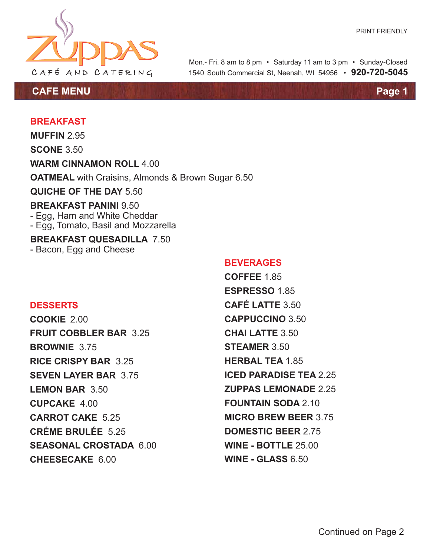

**CAFE MENU Page 1**

1540 South Commercial St, Neenah, WI 54956 • **920-720-5045** Mon.- Fri. 8 am to 8 pm • Saturday 11 am to 3 pm • Sunday-Closed

## **BREAKFAST**

**MUFFIN** 2.95

**SCONE** 3.50

**WARM CINNAMON ROLL** 4.00

**OATMEAL** with Craisins, Almonds & Brown Sugar 6.50

**QUICHE OF THE DAY** 5.50

## **BREAKFAST PANINI** 9.50

- Egg, Ham and White Cheddar
- Egg, Tomato, Basil and Mozzarella

**BREAKFAST QUESADILLA** 7.50 - Bacon, Egg and Cheese

## **BEVERAGES**

**COFFEE** 1.85 **ESPRESSO** 1.85 **CAFÉ LATTE** 3.50 **CAPPUCCINO** 3.50 **CHAI LATTE** 3.50 **STEAMER** 3.50 **HERBAL TEA** 1.85 **ICED PARADISE TEA** 2.25 **ZUPPAS LEMONADE** 2.25 **FOUNTAIN SODA** 2.10 **MICRO BREW BEER** 3.75 **DOMESTIC BEER** 2.75 **WINE - BOTTLE** 25.00 **WINE - GLASS** 6.50

## **DESSERTS**

**COOKIE** 2.00 **FRUIT COBBLER BAR** 3.25 **BROWNIE** 3.75 **RICE CRISPY BAR** 3.25 **SEVEN LAYER BAR** 3.75 **LEMON BAR** 3.50 **CUPCAKE** 4.00 **CARROT CAKE** 5.25 **CRÉME BRULÉE** 5.25 **SEASONAL CROSTADA** 6.00 **CHEESECAKE** 6.00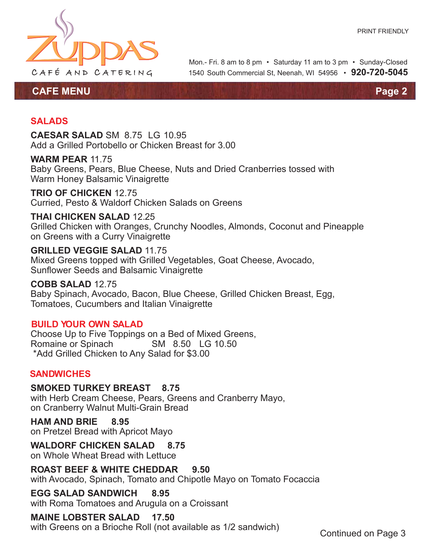

1540 South Commercial St, Neenah, WI 54956 • **920-720-5045** Mon.- Fri. 8 am to 8 pm • Saturday 11 am to 3 pm • Sunday-Closed

**CAFE MENU Page 2**

## **SALADS**

**CAESAR SALAD** SM 8.75 LG 10.95 Add a Grilled Portobello or Chicken Breast for 3.00

#### **WARM PEAR** 11.75

Baby Greens, Pears, Blue Cheese, Nuts and Dried Cranberries tossed with Warm Honey Balsamic Vinaigrette

# **TRIO OF CHICKEN** 12.75

Curried, Pesto & Waldorf Chicken Salads on Greens

## **THAI CHICKEN SALAD** 12.25

Grilled Chicken with Oranges, Crunchy Noodles, Almonds, Coconut and Pineapple on Greens with a Curry Vinaigrette

#### **GRILLED VEGGIE SALAD** 11.75

Mixed Greens topped with Grilled Vegetables, Goat Cheese, Avocado, Sunflower Seeds and Balsamic Vinaigrette

#### **COBB SALAD** 12.75

Baby Spinach, Avocado, Bacon, Blue Cheese, Grilled Chicken Breast, Egg, Tomatoes, Cucumbers and Italian Vinaigrette

## **BUILD YOUR OWN SALAD**

Choose Up to Five Toppings on a Bed of Mixed Greens, Romaine or Spinach SM 8.50 LG 10.50 \*Add Grilled Chicken to Any Salad for \$3.00

#### **SANDWICHES**

**SMOKED TURKEY BREAST 8.75** with Herb Cream Cheese, Pears, Greens and Cranberry Mayo, on Cranberry Walnut Multi-Grain Bread

**HAM AND BRIE 8.95** on Pretzel Bread with Apricot Mayo

## **WALDORF CHICKEN SALAD 8.75**

on Whole Wheat Bread with Lettuce

**ROAST BEEF & WHITE CHEDDAR 9.50** with Avocado, Spinach, Tomato and Chipotle Mayo on Tomato Focaccia

#### **EGG SALAD SANDWICH 8.95**

with Roma Tomatoes and Arugula on a Croissant

## **MAINE LOBSTER SALAD 17.50**

with Greens on a Brioche Roll (not available as 1/2 sandwich)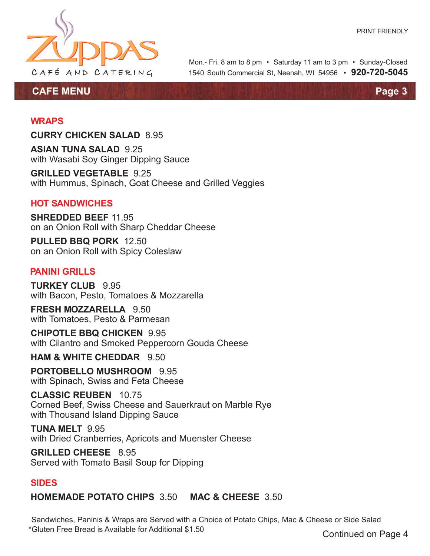

**CAFE MENU Page 3**

1540 South Commercial St, Neenah, WI 54956 • **920-720-5045** Mon.- Fri. 8 am to 8 pm • Saturday 11 am to 3 pm • Sunday-Closed

## **WRAPS**

**CURRY CHICKEN SALAD** 8.95

**ASIAN TUNA SALAD** 9.25 with Wasabi Soy Ginger Dipping Sauce

**GRILLED VEGETABLE** 9.25 with Hummus, Spinach, Goat Cheese and Grilled Veggies

## **HOT SANDWICHES**

**SHREDDED BEEF** 11.95 on an Onion Roll with Sharp Cheddar Cheese

**PULLED BBQ PORK** 12.50 on an Onion Roll with Spicy Coleslaw

## **PANINI GRILLS**

**TURKEY CLUB** 9.95 with Bacon, Pesto, Tomatoes & Mozzarella

**FRESH MOZZARELLA** 9.50 with Tomatoes, Pesto & Parmesan

**CHIPOTLE BBQ CHICKEN** 9.95 with Cilantro and Smoked Peppercorn Gouda Cheese

**HAM & WHITE CHEDDAR** 9.50

**PORTOBELLO MUSHROOM** 9.95 with Spinach, Swiss and Feta Cheese

**CLASSIC REUBEN** 10.75 Corned Beef, Swiss Cheese and Sauerkraut on Marble Rye with Thousand Island Dipping Sauce

**TUNA MELT** 9.95 with Dried Cranberries, Apricots and Muenster Cheese

**GRILLED CHEESE** 8.95 Served with Tomato Basil Soup for Dipping

## **SIDES**

**HOMEMADE POTATO CHIPS** 3.50 **MAC & CHEESE** 3.50

Sandwiches, Paninis & Wraps are Served with a Choice of Potato Chips, Mac & Cheese or Side Salad \*Gluten Free Bread is Available for Additional \$1.50